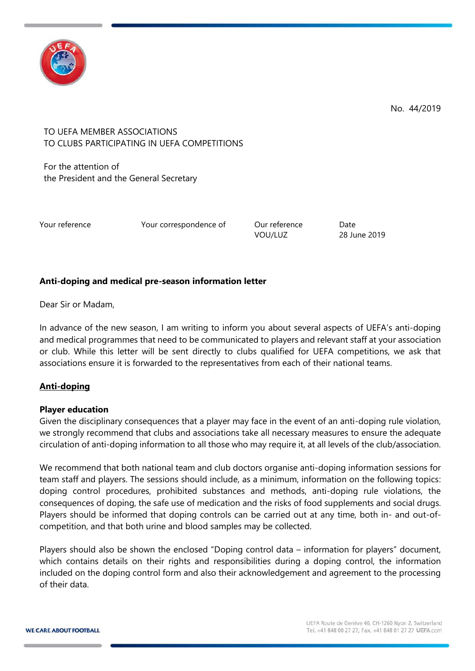

No. 44/2019

# TO UEFA MEMBER ASSOCIATIONS TO CLUBS PARTICIPATING IN UEFA COMPETITIONS

For the attention of the President and the General Secretary

Your reference The Your correspondence of The Our reference Date

VOU/LUZ 28 June 2019

# **Anti-doping and medical pre-season information letter**

Dear Sir or Madam,

In advance of the new season, I am writing to inform you about several aspects of UEFA's anti-doping and medical programmes that need to be communicated to players and relevant staff at your association or club. While this letter will be sent directly to clubs qualified for UEFA competitions, we ask that associations ensure it is forwarded to the representatives from each of their national teams.

# **Anti-doping**

#### **Player education**

Given the disciplinary consequences that a player may face in the event of an anti-doping rule violation, we strongly recommend that clubs and associations take all necessary measures to ensure the adequate circulation of anti-doping information to all those who may require it, at all levels of the club/association.

We recommend that both national team and club doctors organise anti-doping information sessions for team staff and players. The sessions should include, as a minimum, information on the following topics: doping control procedures, prohibited substances and methods, anti-doping rule violations, the consequences of doping, the safe use of medication and the risks of food supplements and social drugs. Players should be informed that doping controls can be carried out at any time, both in- and out-ofcompetition, and that both urine and blood samples may be collected.

Players should also be shown the enclosed "Doping control data – information for players" document, which contains details on their rights and responsibilities during a doping control, the information included on the doping control form and also their acknowledgement and agreement to the processing of their data.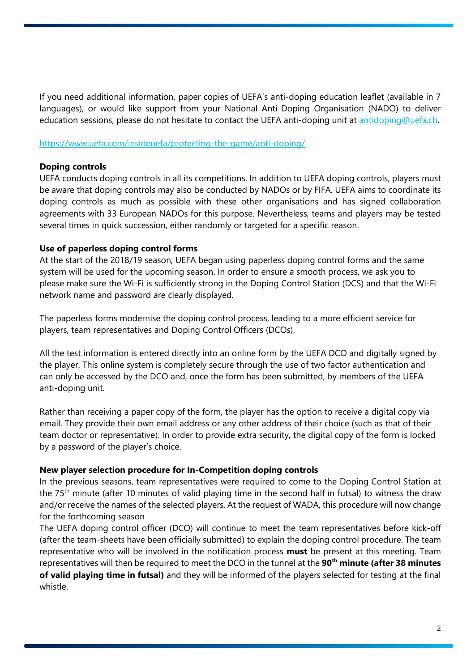If you need additional information, paper copies of UEFA's anti-doping education leaflet (available in 7 languages), or would like support from your National Anti-Doping Organisation (NADO) to deliver education sessions, please do not hesitate to contact the UEFA anti-doping unit at [antidoping@uefa.ch.](mailto:antidoping@uefa.ch)

#### <https://www.uefa.com/insideuefa/protecting-the-game/anti-doping/>

#### **Doping controls**

UEFA conducts doping controls in all its competitions. In addition to UEFA doping controls, players must be aware that doping controls may also be conducted by NADOs or by FIFA. UEFA aims to coordinate its doping controls as much as possible with these other organisations and has signed collaboration agreements with 33 European NADOs for this purpose. Nevertheless, teams and players may be tested several times in quick succession, either randomly or targeted for a specific reason.

#### **Use of paperless doping control forms**

At the start of the 2018/19 season, UEFA began using paperless doping control forms and the same system will be used for the upcoming season. In order to ensure a smooth process, we ask you to please make sure the Wi-Fi is sufficiently strong in the Doping Control Station (DCS) and that the Wi-Fi network name and password are clearly displayed.

The paperless forms modernise the doping control process, leading to a more efficient service for players, team representatives and Doping Control Officers (DCOs).

All the test information is entered directly into an online form by the UEFA DCO and digitally signed by the player. This online system is completely secure through the use of two factor authentication and can only be accessed by the DCO and, once the form has been submitted, by members of the UEFA anti-doping unit.

Rather than receiving a paper copy of the form, the player has the option to receive a digital copy via email. They provide their own email address or any other address of their choice (such as that of their team doctor or representative). In order to provide extra security, the digital copy of the form is locked by a password of the player's choice.

#### **New player selection procedure for In-Competition doping controls**

In the previous seasons, team representatives were required to come to the Doping Control Station at the 75<sup>th</sup> minute (after 10 minutes of valid playing time in the second half in futsal) to witness the draw and/or receive the names of the selected players. At the request of WADA, this procedure will now change for the forthcoming season

The UEFA doping control officer (DCO) will continue to meet the team representatives before kick-off (after the team-sheets have been officially submitted) to explain the doping control procedure. The team representative who will be involved in the notification process **must** be present at this meeting. Team representatives will then be required to meet the DCO in the tunnel at the **90th minute (after 38 minutes of valid playing time in futsal)** and they will be informed of the players selected for testing at the final whistle.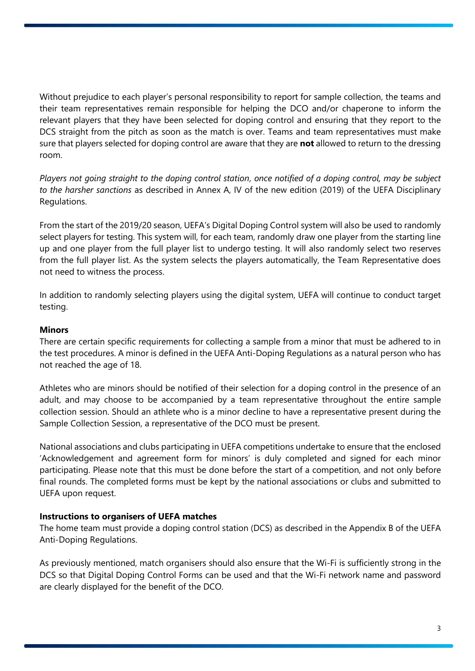Without prejudice to each player's personal responsibility to report for sample collection, the teams and their team representatives remain responsible for helping the DCO and/or chaperone to inform the relevant players that they have been selected for doping control and ensuring that they report to the DCS straight from the pitch as soon as the match is over. Teams and team representatives must make sure that players selected for doping control are aware that they are **not** allowed to return to the dressing room.

*Players not going straight to the doping control station, once notified of a doping control, may be subject to the harsher sanctions* as described in Annex A, IV of the new edition (2019) of the UEFA Disciplinary Regulations.

From the start of the 2019/20 season, UEFA's Digital Doping Control system will also be used to randomly select players for testing. This system will, for each team, randomly draw one player from the starting line up and one player from the full player list to undergo testing. It will also randomly select two reserves from the full player list. As the system selects the players automatically, the Team Representative does not need to witness the process.

In addition to randomly selecting players using the digital system, UEFA will continue to conduct target testing.

#### **Minors**

There are certain specific requirements for collecting a sample from a minor that must be adhered to in the test procedures. A minor is defined in the UEFA Anti-Doping Regulations as a natural person who has not reached the age of 18.

Athletes who are minors should be notified of their selection for a doping control in the presence of an adult, and may choose to be accompanied by a team representative throughout the entire sample collection session. Should an athlete who is a minor decline to have a representative present during the Sample Collection Session, a representative of the DCO must be present.

National associations and clubs participating in UEFA competitions undertake to ensure that the enclosed 'Acknowledgement and agreement form for minors' is duly completed and signed for each minor participating. Please note that this must be done before the start of a competition, and not only before final rounds. The completed forms must be kept by the national associations or clubs and submitted to UEFA upon request.

#### **Instructions to organisers of UEFA matches**

The home team must provide a doping control station (DCS) as described in the Appendix B of the UEFA Anti-Doping Regulations.

As previously mentioned, match organisers should also ensure that the Wi-Fi is sufficiently strong in the DCS so that Digital Doping Control Forms can be used and that the Wi-Fi network name and password are clearly displayed for the benefit of the DCO.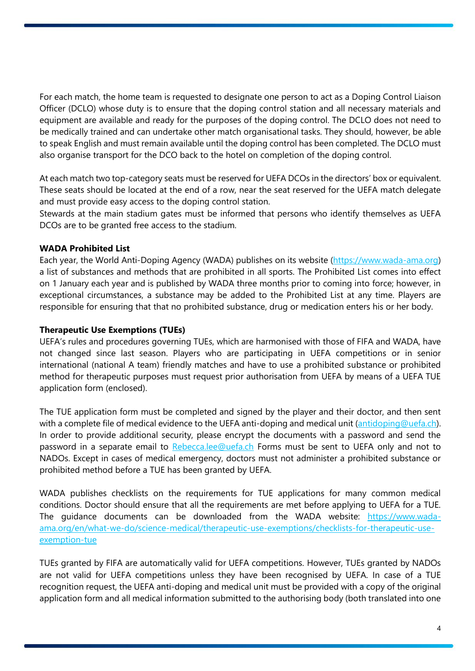For each match, the home team is requested to designate one person to act as a Doping Control Liaison Officer (DCLO) whose duty is to ensure that the doping control station and all necessary materials and equipment are available and ready for the purposes of the doping control. The DCLO does not need to be medically trained and can undertake other match organisational tasks. They should, however, be able to speak English and must remain available until the doping control has been completed. The DCLO must also organise transport for the DCO back to the hotel on completion of the doping control.

At each match two top-category seats must be reserved for UEFA DCOs in the directors' box or equivalent. These seats should be located at the end of a row, near the seat reserved for the UEFA match delegate and must provide easy access to the doping control station.

Stewards at the main stadium gates must be informed that persons who identify themselves as UEFA DCOs are to be granted free access to the stadium.

### **WADA Prohibited List**

Each year, the World Anti-Doping Agency (WADA) publishes on its website [\(https://www.wada-ama.org\)](https://www.wada-ama.org/) a list of substances and methods that are prohibited in all sports. The Prohibited List comes into effect on 1 January each year and is published by WADA three months prior to coming into force; however, in exceptional circumstances, a substance may be added to the Prohibited List at any time. Players are responsible for ensuring that that no prohibited substance, drug or medication enters his or her body.

#### **Therapeutic Use Exemptions (TUEs)**

UEFA's rules and procedures governing TUEs, which are harmonised with those of FIFA and WADA, have not changed since last season. Players who are participating in UEFA competitions or in senior international (national A team) friendly matches and have to use a prohibited substance or prohibited method for therapeutic purposes must request prior authorisation from UEFA by means of a UEFA TUE application form (enclosed).

The TUE application form must be completed and signed by the player and their doctor, and then sent with a complete file of medical evidence to the UEFA anti-doping and medical unit [\(antidoping@uefa.ch\)](mailto:antidoping@uefa.ch). In order to provide additional security, please encrypt the documents with a password and send the password in a separate email to [Rebecca.lee@uefa.ch](mailto:Rebecca.lee@uefa.ch) Forms must be sent to UEFA only and not to NADOs. Except in cases of medical emergency, doctors must not administer a prohibited substance or prohibited method before a TUE has been granted by UEFA.

WADA publishes checklists on the requirements for TUE applications for many common medical conditions. Doctor should ensure that all the requirements are met before applying to UEFA for a TUE. The guidance documents can be downloaded from the WADA website: [https://www.wada](https://www.wada-ama.org/en/what-we-do/science-medical/therapeutic-use-exemptions/checklists-for-therapeutic-use-exemption-tue)[ama.org/en/what-we-do/science-medical/therapeutic-use-exemptions/checklists-for-therapeutic-use](https://www.wada-ama.org/en/what-we-do/science-medical/therapeutic-use-exemptions/checklists-for-therapeutic-use-exemption-tue)[exemption-tue](https://www.wada-ama.org/en/what-we-do/science-medical/therapeutic-use-exemptions/checklists-for-therapeutic-use-exemption-tue)

TUEs granted by FIFA are automatically valid for UEFA competitions. However, TUEs granted by NADOs are not valid for UEFA competitions unless they have been recognised by UEFA. In case of a TUE recognition request, the UEFA anti-doping and medical unit must be provided with a copy of the original application form and all medical information submitted to the authorising body (both translated into one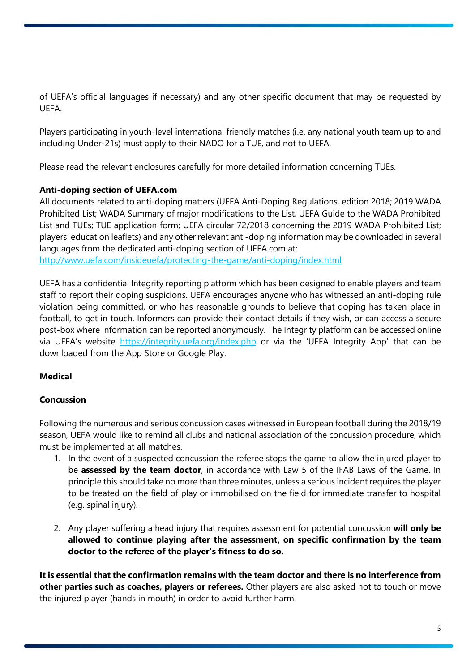of UEFA's official languages if necessary) and any other specific document that may be requested by UEFA.

Players participating in youth-level international friendly matches (i.e. any national youth team up to and including Under-21s) must apply to their NADO for a TUE, and not to UEFA.

Please read the relevant enclosures carefully for more detailed information concerning TUEs.

# **Anti-doping section of UEFA.com**

All documents related to anti-doping matters (UEFA Anti-Doping Regulations, edition 2018; 2019 WADA Prohibited List; WADA Summary of major modifications to the List, UEFA Guide to the WADA Prohibited List and TUEs; TUE application form; UEFA circular 72/2018 concerning the 2019 WADA Prohibited List; players' education leaflets) and any other relevant anti-doping information may be downloaded in several languages from the dedicated anti-doping section of UEFA.com at: <http://www.uefa.com/insideuefa/protecting-the-game/anti-doping/index.html>

UEFA has a confidential Integrity reporting platform which has been designed to enable players and team staff to report their doping suspicions. UEFA encourages anyone who has witnessed an anti-doping rule violation being committed, or who has reasonable grounds to believe that doping has taken place in football, to get in touch. Informers can provide their contact details if they wish, or can access a secure post-box where information can be reported anonymously. The Integrity platform can be accessed online via UEFA's website <https://integrity.uefa.org/index.php> or via the 'UEFA Integrity App' that can be downloaded from the App Store or Google Play.

# **Medical**

# **Concussion**

Following the numerous and serious concussion cases witnessed in European football during the 2018/19 season, UEFA would like to remind all clubs and national association of the concussion procedure, which must be implemented at all matches.

- 1. In the event of a suspected concussion the referee stops the game to allow the injured player to be **assessed by the team doctor**, in accordance with Law 5 of the IFAB Laws of the Game. In principle this should take no more than three minutes, unless a serious incident requires the player to be treated on the field of play or immobilised on the field for immediate transfer to hospital (e.g. spinal injury).
- 2. Any player suffering a head injury that requires assessment for potential concussion **will only be allowed to continue playing after the assessment, on specific confirmation by the team doctor to the referee of the player's fitness to do so.**

**It is essential that the confirmation remains with the team doctor and there is no interference from other parties such as coaches, players or referees.** Other players are also asked not to touch or move the injured player (hands in mouth) in order to avoid further harm.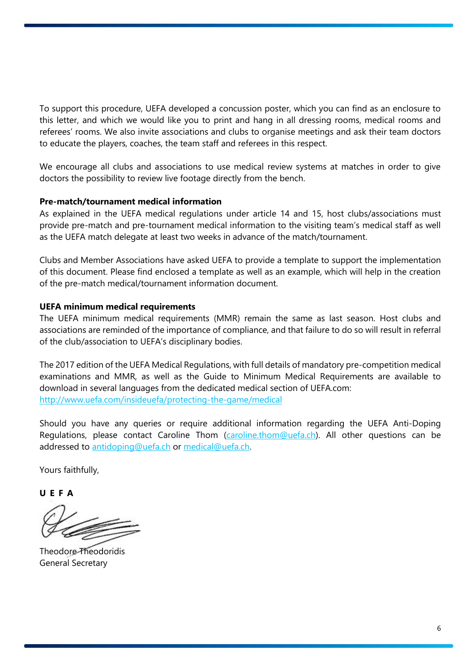To support this procedure, UEFA developed a concussion poster, which you can find as an enclosure to this letter, and which we would like you to print and hang in all dressing rooms, medical rooms and referees' rooms. We also invite associations and clubs to organise meetings and ask their team doctors to educate the players, coaches, the team staff and referees in this respect.

We encourage all clubs and associations to use medical review systems at matches in order to give doctors the possibility to review live footage directly from the bench.

### **Pre-match/tournament medical information**

As explained in the UEFA medical regulations under article 14 and 15, host clubs/associations must provide pre-match and pre-tournament medical information to the visiting team's medical staff as well as the UEFA match delegate at least two weeks in advance of the match/tournament.

Clubs and Member Associations have asked UEFA to provide a template to support the implementation of this document. Please find enclosed a template as well as an example, which will help in the creation of the pre-match medical/tournament information document.

### **UEFA minimum medical requirements**

The UEFA minimum medical requirements (MMR) remain the same as last season. Host clubs and associations are reminded of the importance of compliance, and that failure to do so will result in referral of the club/association to UEFA's disciplinary bodies.

The 2017 edition of the UEFA Medical Regulations, with full details of mandatory pre-competition medical examinations and MMR, as well as the Guide to Minimum Medical Requirements are available to download in several languages from the dedicated medical section of UEFA.com: <http://www.uefa.com/insideuefa/protecting-the-game/medical>

Should you have any queries or require additional information regarding the UEFA Anti-Doping Regulations, please contact Caroline Thom [\(caroline.thom@uefa.ch\)](mailto:caroline.thom@uefa.ch). All other questions can be addressed to [antidoping@uefa.ch](mailto:antidoping@uefa.ch) or [medical@uefa.ch.](mailto:medical@uefa.ch)

Yours faithfully,

**U E F A**

Theodore Theodoridis General Secretary